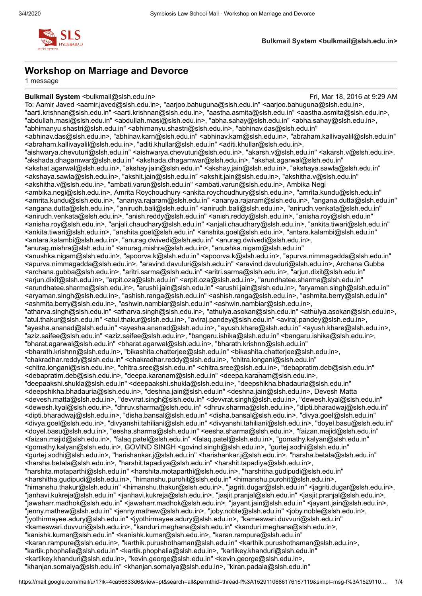

### **Workshop on Marriage and Devorce**

1 message

**Bulkmail System** <br />  $\sim$  Pulkmail System <br />
Eri, Mar 18, 2016 at 9:29 AM To: Aamir Javed <aamir.javed@slsh.edu.in>, "aarjoo.bahuguna@slsh.edu.in" <aarjoo.bahuguna@slsh.edu.in>, "aarti.krishnan@slsh.edu.in" <aarti.krishnan@slsh.edu.in>, "aastha.asmita@slsh.edu.in" <aastha.asmita@slsh.edu.in>, "abdullah.masi@slsh.edu.in" <abdullah.masi@slsh.edu.in>, "abha.sahay@slsh.edu.in" <abha.sahay@slsh.edu.in>, "abhimanyu.shastri@slsh.edu.in" <abhimanyu.shastri@slsh.edu.in>, "abhinav.das@slsh.edu.in" <abhinav.das@slsh.edu.in>, "abhinav.karn@slsh.edu.in" <abhinav.karn@slsh.edu.in>, "abraham.kallivayalil@slsh.edu.in" <abraham.kallivayalil@slsh.edu.in>, "aditi.khullar@slsh.edu.in" <aditi.khullar@slsh.edu.in>, "aishwarya.chevuturi@slsh.edu.in" <aishwarya.chevuturi@slsh.edu.in>, "akarsh.v@slsh.edu.in" <akarsh.v@slsh.edu.in>, "akshada.dhagamwar@slsh.edu.in" <akshada.dhagamwar@slsh.edu.in>, "akshat.agarwal@slsh.edu.in" <akshat.agarwal@slsh.edu.in>, "akshay.jain@slsh.edu.in" <akshay.jain@slsh.edu.in>, "akshaya.sawla@slsh.edu.in" <akshaya.sawla@slsh.edu.in>, "akshit.jain@slsh.edu.in" <akshit.jain@slsh.edu.in>, "akshitha.v@slsh.edu.in" <akshitha.v@slsh.edu.in>, "ambati.varun@slsh.edu.in" <ambati.varun@slsh.edu.in>, Ambika Negi <ambika.negi@slsh.edu.in>, Amrita Roychoudhury <ankita.roychoudhury@slsh.edu.in>, "amrita.kundu@slsh.edu.in" <amrita.kundu@slsh.edu.in>, "ananya.rajaram@slsh.edu.in" <ananya.rajaram@slsh.edu.in>, "angana.dutta@slsh.edu.in" <angana.dutta@slsh.edu.in>, "anirudh.bali@slsh.edu.in" <anirudh.bali@slsh.edu.in>, "anirudh.venkata@slsh.edu.in" <anirudh.venkata@slsh.edu.in>, "anish.reddy@slsh.edu.in" <anish.reddy@slsh.edu.in>, "anisha.roy@slsh.edu.in" <anisha.roy@slsh.edu.in>, "anjali.chaudhary@slsh.edu.in" <anjali.chaudhary@slsh.edu.in>, "ankita.tiwari@slsh.edu.in" <ankita.tiwari@slsh.edu.in>, "anshita.goel@slsh.edu.in" <anshita.goel@slsh.edu.in>, "antara.kalambi@slsh.edu.in" <antara.kalambi@slsh.edu.in>, "anurag.dwivedi@slsh.edu.in" <anurag.dwivedi@slsh.edu.in>, "anurag.mishra@slsh.edu.in" <anurag.mishra@slsh.edu.in>, "anushka.nigam@slsh.edu.in" <anushka.nigam@slsh.edu.in>, "apoorva.k@slsh.edu.in" <apoorva.k@slsh.edu.in>, "apurva.nimmagadda@slsh.edu.in" <apurva.nimmagadda@slsh.edu.in>, "aravind.davuluri@slsh.edu.in" <aravind.davuluri@slsh.edu.in>, Archana Gubba <archana.gubba@slsh.edu.in>, "aritri.sarma@slsh.edu.in" <aritri.sarma@slsh.edu.in>, "arjun.dixit@slsh.edu.in" <arjun.dixit@slsh.edu.in>, "arpit.oza@slsh.edu.in" <arpit.oza@slsh.edu.in>, "arundhatee.sharma@slsh.edu.in" <arundhatee.sharma@slsh.edu.in>, "arushi.jain@slsh.edu.in" <arushi.jain@slsh.edu.in>, "aryaman.singh@slsh.edu.in" <aryaman.singh@slsh.edu.in>, "ashish.ranga@slsh.edu.in" <ashish.ranga@slsh.edu.in>, "ashmita.berry@slsh.edu.in" <ashmita.berry@slsh.edu.in>, "ashwin.nambiar@slsh.edu.in" <ashwin.nambiar@slsh.edu.in>, "atharva.singh@slsh.edu.in" <atharva.singh@slsh.edu.in>, "athulya.asokan@slsh.edu.in" <athulya.asokan@slsh.edu.in>, "atul.thakur@slsh.edu.in" <atul.thakur@slsh.edu.in>, "aviraj.pandey@slsh.edu.in" <aviraj.pandey@slsh.edu.in>, "ayesha.ananad@slsh.edu.in" <ayesha.ananad@slsh.edu.in>, "ayush.khare@slsh.edu.in" <ayush.khare@slsh.edu.in>, "aziz.saifee@slsh.edu.in" <aziz.saifee@slsh.edu.in>, "bangaru.ishika@slsh.edu.in" <br/>bangaru.ishika@slsh.edu.in>, "bharat.agarwal@slsh.edu.in" <bharat.agarwal@slsh.edu.in>, "bharath.krishnn@slsh.edu.in" <bharath.krishnn@slsh.edu.in>, "bikashita.chatterjee@slsh.edu.in" <br/>sikashita.chatterjee@slsh.edu.in>, "chakradhar.reddy@slsh.edu.in" <chakradhar.reddy@slsh.edu.in>, "chitra.longani@slsh.edu.in" <chitra.longani@slsh.edu.in>, "chitra.sree@slsh.edu.in" <chitra.sree@slsh.edu.in>, "debapratim.deb@slsh.edu.in" <debapratim.deb@slsh.edu.in>, "deepa.karanam@slsh.edu.in" <deepa.karanam@slsh.edu.in>, "deepaakshi.shukla@slsh.edu.in" <deepaakshi.shukla@slsh.edu.in>, "deepshikha.bhadauria@slsh.edu.in" <deepshikha.bhadauria@slsh.edu.in>, "deshna.jain@slsh.edu.in" <deshna.jain@slsh.edu.in>, Devesh Matta <devesh.matta@slsh.edu.in>, "devvrat.singh@slsh.edu.in" <devvrat.singh@slsh.edu.in>, "dewesh.kyal@slsh.edu.in" <dewesh.kyal@slsh.edu.in>, "dhruv.sharma@slsh.edu.in" <dhruv.sharma@slsh.edu.in>, "dipti.bharadwaj@slsh.edu.in" <dipti.bharadwaj@slsh.edu.in>, "disha.bansal@slsh.edu.in" <disha.bansal@slsh.edu.in>, "divya.goel@slsh.edu.in" <divya.goel@slsh.edu.in>, "divyanshi.tahiliani@slsh.edu.in" <divyanshi.tahiliani@slsh.edu.in>, "doyel.basu@slsh.edu.in" <doyel.basu@slsh.edu.in>, "eesha.sharma@slsh.edu.in" <eesha.sharma@slsh.edu.in>, "faizan.majid@slsh.edu.in" <faizan.majid@slsh.edu.in>, "falaq.patel@slsh.edu.in" <falaq.patel@slsh.edu.in>, "gomathy.kalyan@slsh.edu.in" <gomathy.kalyan@slsh.edu.in>, GOVIND SINGH <govind.singh@slsh.edu.in>, "gurtej.sodhi@slsh.edu.in" <gurtej.sodhi@slsh.edu.in>, "harishankar.j@slsh.edu.in" <harishankar.j@slsh.edu.in>, "harsha.betala@slsh.edu.in" <harsha.betala@slsh.edu.in>, "harshit.tapadiya@slsh.edu.in" <harshit.tapadiya@slsh.edu.in>, "harshita.motaparthi@slsh.edu.in" <harshita.motaparthi@slsh.edu.in>, "harshitha.gudipudi@slsh.edu.in" <harshitha.gudipudi@slsh.edu.in>, "himanshu.purohit@slsh.edu.in" <himanshu.purohit@slsh.edu.in>, "himanshu.thakur@slsh.edu.in" <himanshu.thakur@slsh.edu.in>, "jagriti.dugar@slsh.edu.in" <jagriti.dugar@slsh.edu.in>, "janhavi.kukreja@slsh.edu.in" <janhavi.kukreja@slsh.edu.in>, "jasjit.pranjal@slsh.edu.in" <jasjit.pranjal@slsh.edu.in>, "jawaharr.madhok@slsh.edu.in" <jawaharr.madhok@slsh.edu.in>, "jayant.jain@slsh.edu.in" <jayant.jain@slsh.edu.in>, "jenny.mathew@slsh.edu.in" <jenny.mathew@slsh.edu.in>, "joby.noble@slsh.edu.in" <joby.noble@slsh.edu.in>, "jyothirmayee.adury@slsh.edu.in" <jyothirmayee.adury@slsh.edu.in>, "kameswari.duvvuri@slsh.edu.in" <kameswari.duvvuri@slsh.edu.in>, "kanduri.meghana@slsh.edu.in" <kanduri.meghana@slsh.edu.in>, "kanishk.kumar@slsh.edu.in" <kanishk.kumar@slsh.edu.in>, "karan.rampure@slsh.edu.in" <karan.rampure@slsh.edu.in>, "karthik.purushothaman@slsh.edu.in" <karthik.purushothaman@slsh.edu.in>, "kartik.phophalia@slsh.edu.in" <kartik.phophalia@slsh.edu.in>, "kartikey.khanduri@slsh.edu.in" <kartikey.khanduri@slsh.edu.in>, "kevin.george@slsh.edu.in" <kevin.george@slsh.edu.in>, "khanjan.somaiya@slsh.edu.in" <khanjan.somaiya@slsh.edu.in>, "kiran.padala@slsh.edu.in"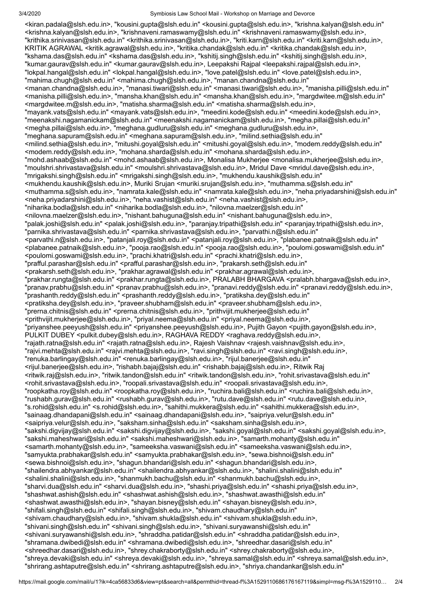3/4/2020 Symbiosis Law School Mail - Workshop on Marriage and Devorce

<kiran.padala@slsh.edu.in>, "kousini.gupta@slsh.edu.in" <kousini.gupta@slsh.edu.in>, "krishna.kalyan@slsh.edu.in" <krishna.kalyan@slsh.edu.in>, "krishnaveni.ramaswamy@slsh.edu.in" <krishnaveni.ramaswamy@slsh.edu.in>, "krithika.srinivasan@slsh.edu.in" <krithika.srinivasan@slsh.edu.in>, "kriti.karn@slsh.edu.in" <kriti.karn@slsh.edu.in>, KRITIK AGRAWAL <kritik.agrawal@slsh.edu.in>, "kritika.chandak@slsh.edu.in" <kritika.chandak@slsh.edu.in>, "kshama.das@slsh.edu.in" <kshama.das@slsh.edu.in>, "kshitij.singh@slsh.edu.in" <kshitij.singh@slsh.edu.in>, "kumar.gaurav@slsh.edu.in" <kumar.gaurav@slsh.edu.in>, Leepakshi Rajpal <leepakshi.rajpal@slsh.edu.in>, "lokpal.hangal@slsh.edu.in" <lokpal.hangal@slsh.edu.in>, "love.patel@slsh.edu.in" <love.patel@slsh.edu.in>, "mahima.chugh@slsh.edu.in" <mahima.chugh@slsh.edu.in>, "manan.chandna@slsh.edu.in" <manan.chandna@slsh.edu.in>, "manasi.tiwari@slsh.edu.in" <manasi.tiwari@slsh.edu.in>, "manisha.pilli@slsh.edu.in" <manisha.pilli@slsh.edu.in>, "mansha.khan@slsh.edu.in" <mansha.khan@slsh.edu.in>, "margdwitee.m@slsh.edu.in" <margdwitee.m@slsh.edu.in>, "matisha.sharma@slsh.edu.in" <matisha.sharma@slsh.edu.in>, "mayank.vats@slsh.edu.in" <mayank.vats@slsh.edu.in>, "meedini.kode@slsh.edu.in" <meedini.kode@slsh.edu.in>, "meenakshi.nagamanickam@slsh.edu.in" <meenakshi.nagamanickam@slsh.edu.in>, "megha.pillai@slsh.edu.in" <megha.pillai@slsh.edu.in>, "meghana.gudluru@slsh.edu.in" <meghana.gudluru@slsh.edu.in>, "meghana.sapuram@slsh.edu.in" <meghana.sapuram@slsh.edu.in>, "milind.sethia@slsh.edu.in" <milind.sethia@slsh.edu.in>, "mitushi.goyal@slsh.edu.in" <mitushi.goyal@slsh.edu.in>, "modem.reddy@slsh.edu.in" <modem.reddy@slsh.edu.in>, "mohana.sharda@slsh.edu.in" <mohana.sharda@slsh.edu.in>, "mohd.ashaab@slsh.edu.in" <mohd.ashaab@slsh.edu.in>, Monalisa Mukherjee <monalisa.mukherjee@slsh.edu.in>, "moulshri.shrivastava@slsh.edu.in" <moulshri.shrivastava@slsh.edu.in>, Mridul Dave <mridul.dave@slsh.edu.in>, "mrigakshi.singh@slsh.edu.in" <mrigakshi.singh@slsh.edu.in>, "mukhendu.kaushik@slsh.edu.in" <mukhendu.kaushik@slsh.edu.in>, Muriki Srujan <muriki.srujan@slsh.edu.in>, "muthamma.s@slsh.edu.in" <muthamma.s@slsh.edu.in>, "namrata.kale@slsh.edu.in" <namrata.kale@slsh.edu.in>, "neha.priyadarshini@slsh.edu.in" <neha.priyadarshini@slsh.edu.in>, "neha.vashist@slsh.edu.in" <neha.vashist@slsh.edu.in>, "niharika.bodla@slsh.edu.in" <niharika.bodla@slsh.edu.in>, "nilovna.maelzer@slsh.edu.in" <nilovna.maelzer@slsh.edu.in>, "nishant.bahuguna@slsh.edu.in" <nishant.bahuguna@slsh.edu.in>, "palak.joshi@slsh.edu.in" <palak.joshi@slsh.edu.in>, "paranjay.tripathi@slsh.edu.in" <paranjay.tripathi@slsh.edu.in>, "parnika.shrivastava@slsh.edu.in" <parnika.shrivastava@slsh.edu.in>, "parvathi.n@slsh.edu.in" <parvathi.n@slsh.edu.in>, "patanjali.roy@slsh.edu.in" <patanjali.roy@slsh.edu.in>, "plabanee.patnaik@slsh.edu.in" <plabanee.patnaik@slsh.edu.in>, "pooja.rao@slsh.edu.in" <pooja.rao@slsh.edu.in>, "poulomi.goswami@slsh.edu.in" <poulomi.goswami@slsh.edu.in>, "prachi.khatri@slsh.edu.in" <prachi.khatri@slsh.edu.in>, "prafful.parashar@slsh.edu.in" <prafful.parashar@slsh.edu.in>, "prakarsh.seth@slsh.edu.in" <prakarsh.seth@slsh.edu.in>, "prakhar.agrawal@slsh.edu.in" <prakhar.agrawal@slsh.edu.in>, "prakhar.rungta@slsh.edu.in" <prakhar.rungta@slsh.edu.in>, PRALABH BHARGAVA <pralabh.bhargava@slsh.edu.in>, "pranav.prabhu@slsh.edu.in" <pranav.prabhu@slsh.edu.in>, "pranavi.reddy@slsh.edu.in" <pranavi.reddy@slsh.edu.in>, "prashanth.reddy@slsh.edu.in" <prashanth.reddy@slsh.edu.in>, "pratiksha.dey@slsh.edu.in" <pratiksha.dey@slsh.edu.in>, "praveer.shubham@slsh.edu.in" <praveer.shubham@slsh.edu.in>, "prerna.chitnis@slsh.edu.in" <prerna.chitnis@slsh.edu.in>, "prithvijit.mukherjee@slsh.edu.in" <prithvijit.mukherjee@slsh.edu.in>, "priyal.neema@slsh.edu.in" <priyal.neema@slsh.edu.in>, "priyanshee.peeyush@slsh.edu.in" <priyanshee.peeyush@slsh.edu.in>, Pujith Gayon <pujith.gayon@slsh.edu.in>, PULKIT DUBEY <pulkit.dubey@slsh.edu.in>, RAGHAVA REDDY <raghava.reddy@slsh.edu.in>, "rajath.ratna@slsh.edu.in" <rajath.ratna@slsh.edu.in>, Rajesh Vaishnav <rajesh.vaishnav@slsh.edu.in>, "rajvi.mehta@slsh.edu.in" <rajvi.mehta@slsh.edu.in>, "ravi.singh@slsh.edu.in" <ravi.singh@slsh.edu.in>, "renuka.barlingay@slsh.edu.in" <renuka.barlingay@slsh.edu.in>, "rijul.banerjee@slsh.edu.in" <rijul.banerjee@slsh.edu.in>, "rishabh.bajaj@slsh.edu.in" <rishabh.bajaj@slsh.edu.in>, Ritwik Raj <ritwik.raj@slsh.edu.in>, "ritwik.tandon@slsh.edu.in" <ritwik.tandon@slsh.edu.in>, "rohit.srivastava@slsh.edu.in" <rohit.srivastava@slsh.edu.in>, "roopali.srivastava@slsh.edu.in" <roopali.srivastava@slsh.edu.in>, "roopkatha.roy@slsh.edu.in" <roopkatha.roy@slsh.edu.in>, "ruchira.bali@slsh.edu.in" <ruchira.bali@slsh.edu.in>, "rushabh.gurav@slsh.edu.in" <rushabh.gurav@slsh.edu.in>, "rutu.dave@slsh.edu.in" <rutu.dave@slsh.edu.in>, "s.rohid@slsh.edu.in" <s.rohid@slsh.edu.in>, "sahithi.mukkera@slsh.edu.in" <sahithi.mukkera@slsh.edu.in>, "sainaag.dhandapani@slsh.edu.in" <sainaag.dhandapani@slsh.edu.in>, "saipriya.velur@slsh.edu.in" <saipriya.velur@slsh.edu.in>, "saksham.sinha@slsh.edu.in" <saksham.sinha@slsh.edu.in>, "sakshi.digvijay@slsh.edu.in" <sakshi.digvijay@slsh.edu.in>, "sakshi.goyal@slsh.edu.in" <sakshi.goyal@slsh.edu.in>, "sakshi.maheshwari@slsh.edu.in" <sakshi.maheshwari@slsh.edu.in>, "samarth.mohanty@slsh.edu.in" <samarth.mohanty@slsh.edu.in>, "sameeksha.vaswani@slsh.edu.in" <sameeksha.vaswani@slsh.edu.in>, "samyukta.prabhakar@slsh.edu.in" <samyukta.prabhakar@slsh.edu.in>, "sewa.bishnoi@slsh.edu.in" <sewa.bishnoi@slsh.edu.in>, "shagun.bhandari@slsh.edu.in" <shagun.bhandari@slsh.edu.in>, "shailendra.abhyankar@slsh.edu.in" <shailendra.abhyankar@slsh.edu.in>, "shalini.shalini@slsh.edu.in" <shalini.shalini@slsh.edu.in>, "shanmukh.bachu@slsh.edu.in" <shanmukh.bachu@slsh.edu.in>, "sharvi.dua@slsh.edu.in" <sharvi.dua@slsh.edu.in>, "shashi.priya@slsh.edu.in" <shashi.priya@slsh.edu.in>, "shashwat.ashish@slsh.edu.in" <shashwat.ashish@slsh.edu.in>, "shashwat.awasthi@slsh.edu.in" <shashwat.awasthi@slsh.edu.in>, "shayan.bisney@slsh.edu.in" <shayan.bisney@slsh.edu.in>, "shifali.singh@slsh.edu.in" <shifali.singh@slsh.edu.in>, "shivam.chaudhary@slsh.edu.in" <shivam.chaudhary@slsh.edu.in>, "shivam.shukla@slsh.edu.in" <shivam.shukla@slsh.edu.in>, "shivani.singh@slsh.edu.in" <shivani.singh@slsh.edu.in>, "shivani.suryawanshi@slsh.edu.in" <shivani.suryawanshi@slsh.edu.in>, "shraddha.patidar@slsh.edu.in" <shraddha.patidar@slsh.edu.in>, "shramana.dwibedi@slsh.edu.in" <shramana.dwibedi@slsh.edu.in>, "shreedhar.dasari@slsh.edu.in" <shreedhar.dasari@slsh.edu.in>, "shrey.chakraborty@slsh.edu.in" <shrey.chakraborty@slsh.edu.in>, "shreya.devaki@slsh.edu.in" <shreya.devaki@slsh.edu.in>, "shreya.samal@slsh.edu.in" <shreya.samal@slsh.edu.in>, "shrirang.ashtaputre@slsh.edu.in" <shrirang.ashtaputre@slsh.edu.in>, "shriya.chandankar@slsh.edu.in"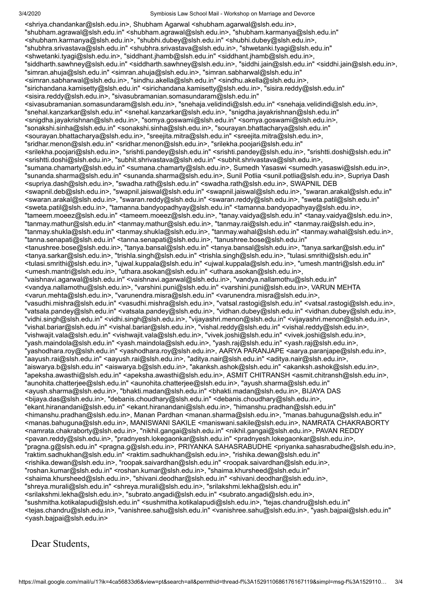<shriya.chandankar@slsh.edu.in>, Shubham Agarwal <shubham.agarwal@slsh.edu.in>, "shubham.agrawal@slsh.edu.in" <shubham.agrawal@slsh.edu.in>, "shubham.karmanya@slsh.edu.in" <shubham.karmanya@slsh.edu.in>, "shubhi.dubey@slsh.edu.in" <shubhi.dubey@slsh.edu.in>, "shubhra.srivastava@slsh.edu.in" <shubhra.srivastava@slsh.edu.in>, "shwetanki.tyagi@slsh.edu.in" <shwetanki.tyagi@slsh.edu.in>, "siddhant.jhamb@slsh.edu.in" <siddhant.jhamb@slsh.edu.in>, "siddharth.sawhney@slsh.edu.in" <siddharth.sawhney@slsh.edu.in>, "siddhi.jain@slsh.edu.in" <siddhi.jain@slsh.edu.in>, "simran.ahuja@slsh.edu.in" <simran.ahuja@slsh.edu.in>, "simran.sabharwal@slsh.edu.in" <simran.sabharwal@slsh.edu.in>, "sindhu.akella@slsh.edu.in" <sindhu.akella@slsh.edu.in>, "sirichandana.kamisetty@slsh.edu.in" <sirichandana.kamisetty@slsh.edu.in>, "sisira.reddy@slsh.edu.in" <sisira.reddy@slsh.edu.in>, "sivasubramanian.somasundaram@slsh.edu.in" <sivasubramanian.somasundaram@slsh.edu.in>, "snehaja.velidindi@slsh.edu.in" <snehaja.velidindi@slsh.edu.in>, "snehal.kanzarkar@slsh.edu.in" <snehal.kanzarkar@slsh.edu.in>, "snigdha.jayakrishnan@slsh.edu.in" <snigdha.jayakrishnan@slsh.edu.in>, "somya.goswami@slsh.edu.in" <somya.goswami@slsh.edu.in>, "sonakshi.sinha@slsh.edu.in" <sonakshi.sinha@slsh.edu.in>, "sourayan.bhattacharya@slsh.edu.in" <sourayan.bhattacharya@slsh.edu.in>, "sreejita.mitra@slsh.edu.in" <sreejita.mitra@slsh.edu.in>, "sridhar.menon@slsh.edu.in" <sridhar.menon@slsh.edu.in>, "srilekha.poojari@slsh.edu.in" <srilekha.poojari@slsh.edu.in>, "srishti.pandey@slsh.edu.in" <srishti.pandey@slsh.edu.in>, "srishtti.doshi@slsh.edu.in" <srishtti.doshi@slsh.edu.in>, "subhit.shrivastava@slsh.edu.in" <subhit.shrivastava@slsh.edu.in>, "sumana.chamarty@slsh.edu.in" <sumana.chamarty@slsh.edu.in>, Sumedh Yasaswi <sumedh.yasaswi@slsh.edu.in>, "sunanda.sharma@slsh.edu.in" <sunanda.sharma@slsh.edu.in>, Sunil Potlia <sunil.potlia@slsh.edu.in>, Supriya Dash <supriya.dash@slsh.edu.in>, "swadha.rath@slsh.edu.in" <swadha.rath@slsh.edu.in>, SWAPNIL DEB <swapnil.deb@slsh.edu.in>, "swapnil.jaiswal@slsh.edu.in" <swapnil.jaiswal@slsh.edu.in>, "swaran.arakal@slsh.edu.in" <swaran.arakal@slsh.edu.in>, "swaran.reddy@slsh.edu.in" <swaran.reddy@slsh.edu.in>, "sweta.patil@slsh.edu.in" <sweta.patil@slsh.edu.in>, "tamanna.bandyopadhyay@slsh.edu.in" <tamanna.bandyopadhyay@slsh.edu.in>, "tameem.moeez@slsh.edu.in" <tameem.moeez@slsh.edu.in>, "tanay.vaidya@slsh.edu.in" <tanay.vaidya@slsh.edu.in>, "tanmay.mathur@slsh.edu.in" <tanmay.mathur@slsh.edu.in>, "tanmay.rai@slsh.edu.in" <tanmay.rai@slsh.edu.in>, "tanmay.shukla@slsh.edu.in" <tanmay.shukla@slsh.edu.in>, "tanmay.wahal@slsh.edu.in" <tanmay.wahal@slsh.edu.in>, "tanna.senapati@slsh.edu.in" <tanna.senapati@slsh.edu.in>, "tanushree.bose@slsh.edu.in" <tanushree.bose@slsh.edu.in>, "tanya.bansal@slsh.edu.in" <tanya.bansal@slsh.edu.in>, "tanya.sarkar@slsh.edu.in" <tanya.sarkar@slsh.edu.in>, "trishla.singh@slsh.edu.in" <trishla.singh@slsh.edu.in>, "tulasi.smrithi@slsh.edu.in" <tulasi.smrithi@slsh.edu.in>, "ujwal.kuppala@slsh.edu.in" <ujwal.kuppala@slsh.edu.in>, "umesh.mantri@slsh.edu.in" <umesh.mantri@slsh.edu.in>, "uthara.asokan@slsh.edu.in" <uthara.asokan@slsh.edu.in>, "vaishnavi.agarwal@slsh.edu.in" <vaishnavi.agarwal@slsh.edu.in>, "vandya.nallamothu@slsh.edu.in" <vandya.nallamothu@slsh.edu.in>, "varshini.puni@slsh.edu.in" <varshini.puni@slsh.edu.in>, VARUN MEHTA <varun.mehta@slsh.edu.in>, "varunendra.misra@slsh.edu.in" <varunendra.misra@slsh.edu.in>, "vasudhi.mishra@slsh.edu.in" <vasudhi.mishra@slsh.edu.in>, "vatsal.rastogi@slsh.edu.in" <vatsal.rastogi@slsh.edu.in>, "vatsala.pandey@slsh.edu.in" <vatsala.pandey@slsh.edu.in>, "vidhan.dubey@slsh.edu.in" <vidhan.dubey@slsh.edu.in>, "vidhi.singh@slsh.edu.in" <vidhi.singh@slsh.edu.in>, "vijayashri.menon@slsh.edu.in" <vijayashri.menon@slsh.edu.in>, "vishal.bariar@slsh.edu.in" <vishal.bariar@slsh.edu.in>, "vishal.reddy@slsh.edu.in" <vishal.reddy@slsh.edu.in>, "vishwajit.vala@slsh.edu.in" <vishwajit.vala@slsh.edu.in>, "vivek.joshi@slsh.edu.in" <vivek.joshi@slsh.edu.in>, "yash.maindola@slsh.edu.in" <yash.maindola@slsh.edu.in>, "yash.raj@slsh.edu.in" <yash.raj@slsh.edu.in>, "yashodhara.roy@slsh.edu.in" <yashodhara.roy@slsh.edu.in>, AARYA PARANJAPE <aarya.paranjape@slsh.edu.in>, "aayush.rai@slsh.edu.in" <aayush.rai@slsh.edu.in>, "aditya.nair@slsh.edu.in" <aditya.nair@slsh.edu.in>, "aiswarya.b@slsh.edu.in" <aiswarya.b@slsh.edu.in>, "akanksh.ashok@slsh.edu.in" <akanksh.ashok@slsh.edu.in>, "apeksha.awasthi@slsh.edu.in" <apeksha.awasthi@slsh.edu.in>, ASMIT CHITRANSH <asmit.chitransh@slsh.edu.in>, "aunohita.chatterjee@slsh.edu.in" <aunohita.chatterjee@slsh.edu.in>, "ayush.sharma@slsh.edu.in" <ayush.sharma@slsh.edu.in>, "bhakti.madan@slsh.edu.in" <bhakti.madan@slsh.edu.in>, BIJAYA DAS <bijaya.das@slsh.edu.in>, "debanis.choudhary@slsh.edu.in" <debanis.choudhary@slsh.edu.in>, "ekant.hiranandani@slsh.edu.in" <ekant.hiranandani@slsh.edu.in>, "himanshu.pradhan@slsh.edu.in" <himanshu.pradhan@slsh.edu.in>, Manan Pardhan <manan.sharma@slsh.edu.in>, "manas.bahuguna@slsh.edu.in" <manas.bahuguna@slsh.edu.in>, MANISWANI SAKILE <maniswani.sakile@slsh.edu.in>, NAMRATA CHAKRABORTY <namrata.chakraborty@slsh.edu.in>, "nikhil.gangai@slsh.edu.in" <nikhil.gangai@slsh.edu.in>, PAVAN REDDY <pavan.reddy@slsh.edu.in>, "pradnyesh.lokegaonkar@slsh.edu.in" <pradnyesh.lokegaonkar@slsh.edu.in>, "pragna.g@slsh.edu.in" <pragna.g@slsh.edu.in>, PRIYANKA SAHASRABUDHE <priyanka.sahasrabudhe@slsh.edu.in>, "raktim.sadhukhan@slsh.edu.in" <raktim.sadhukhan@slsh.edu.in>, "rishika.dewan@slsh.edu.in" <rishika.dewan@slsh.edu.in>, "roopak.saivardhan@slsh.edu.in" <roopak.saivardhan@slsh.edu.in>, "roshan.kumar@slsh.edu.in" <roshan.kumar@slsh.edu.in>, "shaima.khursheed@slsh.edu.in" <shaima.khursheed@slsh.edu.in>, "shivani.deodhar@slsh.edu.in" <shivani.deodhar@slsh.edu.in>, "shreya.murali@slsh.edu.in" <shreya.murali@slsh.edu.in>, "srilakshmi.lekha@slsh.edu.in" <srilakshmi.lekha@slsh.edu.in>, "subrato.angadi@slsh.edu.in" <subrato.angadi@slsh.edu.in>, "sushmitha.kotikalapudi@slsh.edu.in" <sushmitha.kotikalapudi@slsh.edu.in>, "tejas.chandru@slsh.edu.in" <tejas.chandru@slsh.edu.in>, "vanishree.sahu@slsh.edu.in" <vanishree.sahu@slsh.edu.in>, "yash.bajpai@slsh.edu.in" <yash.bajpai@slsh.edu.in>

Dear Students,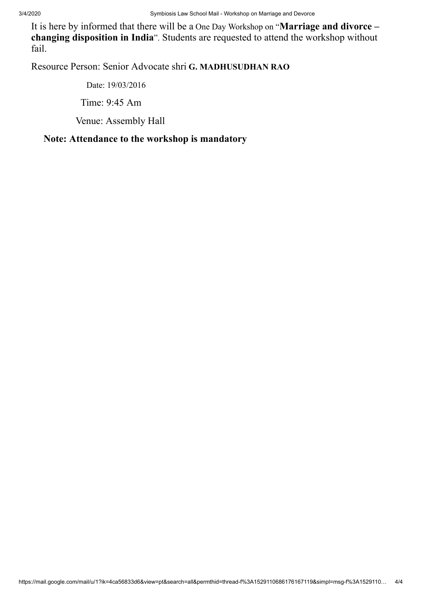It is here by informed that there will be a One Day Workshop on "**Marriage and divorce – changing disposition in India**". Students are requested to attend the workshop without fail.

Resource Person: Senior Advocate shri **G. MADHUSUDHAN RAO**

 Date: 19/03/2016 Time: 9:45 Am Venue: Assembly Hall

## **Note: Attendance to the workshop is mandatory**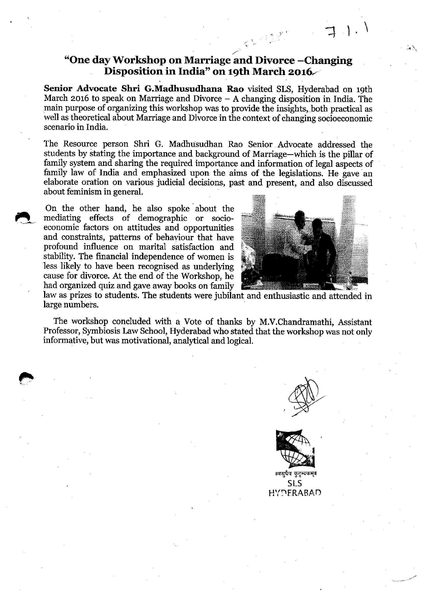# "One day Workshop on Marriage and Divorce-Changing Disposition in India" on 19th March 2016

Senior Advocate Shri G.Madhusudhana Rao visited SLS, Hyderabad on 19th March 2016 to speak on Marriage and Divorce  $-$  A changing disposition in India. The main purpose of organizing this workshop was to provide the insights, both practical as well as theoretical about Marriage and Divorce in the context of changing socioeconomic scenario in India.

The Resource person Shri G. Madhusudhan Rao Senior Advocate addressed the students by stating the importance and background of Marriage—which is the pillar of family system and sharing the required importance and information of legal aspects of family law of India and emphasized upon the aims of the legislations. He gave an elaborate oration on various judicial decisions, past and present, and also discussed about feminism in general.

On the other hand, he also spoke about the mediating effects of demographic or socioeconomic factors on attitudes and opportunities and constraints, patterns of behaviour that have profound influence on marital satisfaction and stability. The financial independence of women is less likely to have been recognised as underlying cause for divorce. At the end of the Workshop, he had organized quiz and gave away books on family



law as prizes to students. The students were jubilant and enthusiastic and attended in large numbers.

The workshop concluded with a Vote of thanks by M.V.Chandramathi, Assistant Professor, Symbiosis Law School, Hyderabad who stated that the workshop was not only informative, but was motivational, analytical and logical.



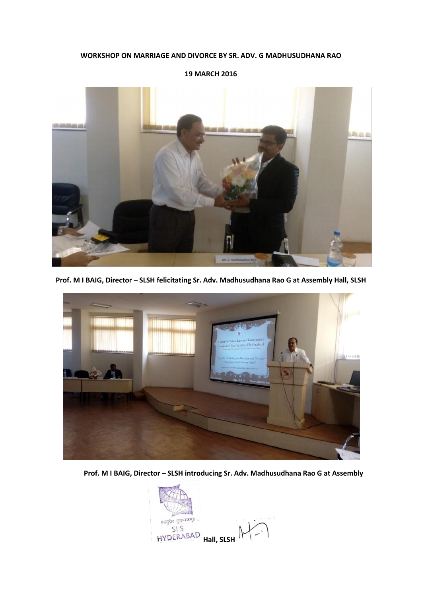#### **WORKSHOP ON MARRIAGE AND DIVORCE BY SR. ADV. G MADHUSUDHANA RAO**



**Prof. M I BAIG, Director – SLSH felicitating Sr. Adv. Madhusudhana Rao G at Assembly Hall, SLSH**



**Prof. M I BAIG, Director – SLSH introducing Sr. Adv. Madhusudhana Rao G at Assembly** 

**।वसुधैव कुटुम्बकम्॥.. HALLS**<br>HALL **HALL** SLSH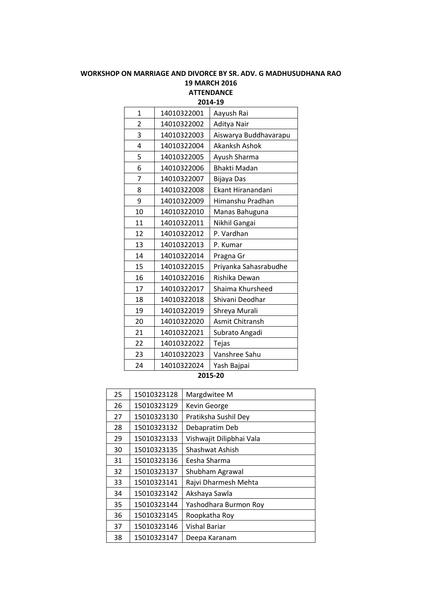### **WORKSHOP ON MARRIAGE AND DIVORCE BY SR. ADV. G MADHUSUDHANA RAO 19 MARCH 2016 ATTENDANCE**

**2014-19** 14010322001 Aayush Rai 14010322002 Aditya Nair 14010322003 Aiswarya Buddhavarapu 14010322004 Akanksh Ashok 14010322005 Ayush Sharma 14010322006 Bhakti Madan 14010322007 Bijaya Das 14010322008 Ekant Hiranandani 14010322009 Himanshu Pradhan 14010322010 Manas Bahuguna 14010322011 Nikhil Gangai 12 | 14010322012 | P. Vardhan 13 | 14010322013 | P. Kumar 14 | 14010322014 | Pragna Gr 14010322015 Priyanka Sahasrabudhe 14010322016 Rishika Dewan 17 | 14010322017 | Shaima Khursheed 18 | 14010322018 | Shivani Deodhar 14010322019 Shreya Murali 14010322020 Asmit Chitransh 21 | 14010322021 | Subrato Angadi 14010322022 Tejas 14010322023 Vanshree Sahu 14010322024 Yash Bajpai

#### **2015-20**

| 25 | 15010323128 | Margdwitee M             |
|----|-------------|--------------------------|
| 26 | 15010323129 | Kevin George             |
| 27 | 15010323130 | Pratiksha Sushil Dey     |
| 28 | 15010323132 | Debapratim Deb           |
| 29 | 15010323133 | Vishwajit Dilipbhai Vala |
| 30 | 15010323135 | Shashwat Ashish          |
| 31 | 15010323136 | Eesha Sharma             |
| 32 | 15010323137 | Shubham Agrawal          |
| 33 | 15010323141 | Rajvi Dharmesh Mehta     |
| 34 | 15010323142 | Akshaya Sawla            |
| 35 | 15010323144 | Yashodhara Burmon Roy    |
| 36 | 15010323145 | Roopkatha Roy            |
| 37 | 15010323146 | Vishal Bariar            |
| 38 | 15010323147 | Deepa Karanam            |